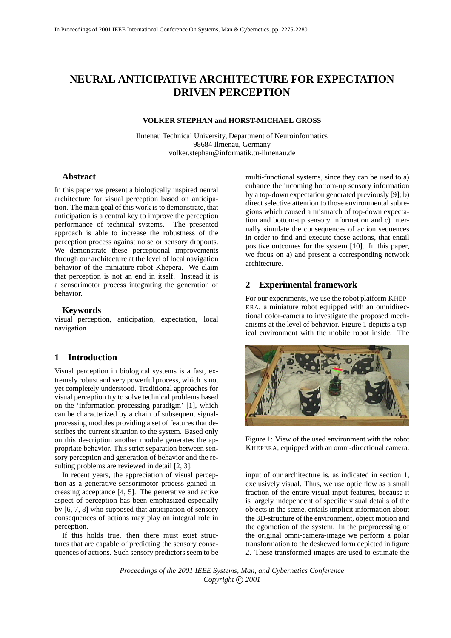# **NEURAL ANTICIPATIVE ARCHITECTURE FOR EXPECTATION DRIVEN PERCEPTION**

#### **VOLKER STEPHAN and HORST-MICHAEL GROSS**

Ilmenau Technical University, Department of Neuroinformatics 98684 Ilmenau, Germany volker.stephan@informatik.tu-ilmenau.de

# **Abstract**

In this paper we present a biologically inspired neural architecture for visual perception based on anticipation. The main goal of this work is to demonstrate, that anticipation is a central key to improve the perception performance of technical systems. The presented approach is able to increase the robustness of the perception process against noise or sensory dropouts. We demonstrate these perceptional improvements through our architecture at the level of local navigation behavior of the miniature robot Khepera. We claim that perception is not an end in itself. Instead it is a sensorimotor process integrating the generation of behavior.

#### **Keywords**

visual perception, anticipation, expectation, local navigation

# **1 Introduction**

Visual perception in biological systems is a fast, extremely robust and very powerful process, which is not yet completely understood. Traditional approaches for visual perception try to solve technical problems based on the 'information processing paradigm' [1], which can be characterized by a chain of subsequent signalprocessing modules providing a set of features that describes the current situation to the system. Based only on this description another module generates the appropriate behavior. This strict separation between sensory perception and generation of behavior and the resulting problems are reviewed in detail [2, 3].

In recent years, the appreciation of visual perception as a generative sensorimotor process gained increasing acceptance [4, 5]. The generative and active aspect of perception has been emphasized especially by [6, 7, 8] who supposed that anticipation of sensory consequences of actions may play an integral role in perception.

If this holds true, then there must exist structures that are capable of predicting the sensory consequences of actions. Such sensory predictors seem to be multi-functional systems, since they can be used to a) enhance the incoming bottom-up sensory information by a top-down expectation generated previously [9]; b) direct selective attention to those environmental subregions which caused a mismatch of top-down expectation and bottom-up sensory information and c) internally simulate the consequences of action sequences in order to find and execute those actions, that entail positive outcomes for the system [10]. In this paper, we focus on a) and present a corresponding network architecture.

#### **2 Experimental framework**

For our experiments, we use the robot platform KHEP-ERA, a miniature robot equipped with an omnidirectional color-camera to investigate the proposed mechanisms at the level of behavior. Figure 1 depicts a typical environment with the mobile robot inside. The



Figure 1: View of the used environment with the robot KHEPERA, equipped with an omni-directional camera.

input of our architecture is, as indicated in section 1, exclusively visual. Thus, we use optic flow as a small fraction of the entire visual input features, because it is largely independent of specific visual details of the objects in the scene, entails implicit information about the 3D-structure of the environment, object motion and the egomotion of the system. In the preprocessing of the original omni-camera-image we perform a polar transformation to the deskewed form depicted in figure 2. These transformed images are used to estimate the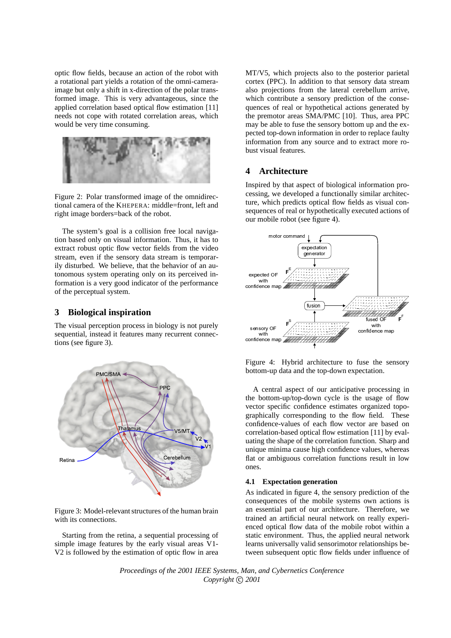optic flow fields, because an action of the robot with a rotational part yields a rotation of the omni-cameraimage but only a shift in x-direction of the polar transformed image. This is very advantageous, since the applied correlation based optical flow estimation [11] needs not cope with rotated correlation areas, which would be very time consuming.



Figure 2: Polar transformed image of the omnidirectional camera of the KHEPERA: middle=front, left and right image borders=back of the robot.

The system's goal is a collision free local navigation based only on visual information. Thus, it has to extract robust optic flow vector fields from the video stream, even if the sensory data stream is temporarily disturbed. We believe, that the behavior of an autonomous system operating only on its perceived information is a very good indicator of the performance of the perceptual system.

### **3 Biological inspiration**

The visual perception process in biology is not purely sequential, instead it features many recurrent connections (see figure 3).



Figure 3: Model-relevant structures of the human brain with its connections.

Starting from the retina, a sequential processing of simple image features by the early visual areas V1- V2 is followed by the estimation of optic flow in area MT/V5, which projects also to the posterior parietal cortex (PPC). In addition to that sensory data stream also projections from the lateral cerebellum arrive, which contribute a sensory prediction of the consequences of real or hypothetical actions generated by the premotor areas SMA/PMC [10]. Thus, area PPC may be able to fuse the sensory bottom up and the expected top-down information in order to replace faulty information from any source and to extract more robust visual features.

# **4 Architecture**

Inspired by that aspect of biological information processing, we developed a functionally similar architecture, which predicts optical flow fields as visual consequences of real or hypothetically executed actions of our mobile robot (see figure 4).



Figure 4: Hybrid architecture to fuse the sensory bottom-up data and the top-down expectation.

A central aspect of our anticipative processing in the bottom-up/top-down cycle is the usage of flow vector specific confidence estimates organized topographically corresponding to the flow field. These confidence-values of each flow vector are based on correlation-based optical flow estimation [11] by evaluating the shape of the correlation function. Sharp and unique minima cause high confidence values, whereas flat or ambiguous correlation functions result in low ones.

### **4.1 Expectation generation**

As indicated in figure 4, the sensory prediction of the consequences of the mobile systems own actions is an essential part of our architecture. Therefore, we trained an artificial neural network on really experienced optical flow data of the mobile robot within a static environment. Thus, the applied neural network learns universally valid sensorimotor relationships between subsequent optic flow fields under influence of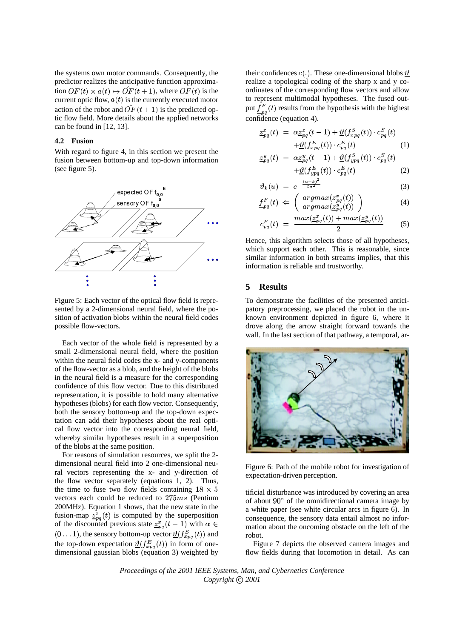the systems own motor commands. Consequently, the predictor realizes the anticipative function approximation  $OF(t) \times a(t) \rightarrow OF(t+1)$ , where  $OF(t)$  is the current optic flow,  $a(t)$  is the currently executed motor action of the robot and  $\hat{OF}(t+1)$  is the predicted optic flow field. More details about the applied networks can be found in [12, 13].

### **4.2 Fusion**

With regard to figure 4, in this section we present the fusion between bottom-up and top-down information (see figure 5).



Figure 5: Each vector of the optical flow field is represented by a 2-dimensional neural field, where the position of activation blobs within the neural field codes possible flow-vectors.

Each vector of the whole field is represented by a small 2-dimensional neural field, where the position within the neural field codes the x- and y-components of the flow-vector as a blob, and the height of the blobs in the neural field is a measure for the corresponding confidence of this flow vector. Due to this distributed representation, it is possible to hold many alternative hypotheses(blobs) for each flow vector. Consequently, both the sensory bottom-up and the top-down expectation can add their hypotheses about the real optical flow vector into the corresponding neural field, whereby similar hypotheses result in a superposition of the blobs at the same position.

For reasons of simulation resources, we split the 2 dimensional neural field into 2 one-dimensional neural vectors representing the x- and y-direction of the flow vector separately (equations 1, 2). Thus, the time to fuse two flow fields containing  $18 \times 5$ vectors each could be reduced to  $275ms$  (Pentium 200MHz). Equation 1 shows, that the new state in the fusion-map  $\frac{z^{x}}{pq}(t)$  is computed by the superposition of the discounted previous state  $\frac{z}{2pq}(t-1)$  with  $\alpha \in$  $(0 \dots 1)$ , the sensory bottom-up vector  $\underline{\vartheta}(f_{x \text{p}q}^S(t))$  and the top-down expectation  $\mathcal{Q}(f_{xpq}^E(t))$  in form of onedimensional gaussian blobs (equation 3) weighted by

their confidences  $c(.)$ . These one-dimensional blobs  $\theta$ realize a topological coding of the sharp x and y coordinates of the corresponding flow vectors and allow to represent multimodal hypotheses. The fused output  $f_{na}^{F}(t)$  results from the hypothesis with the highest confidence (equation 4).

$$
\underline{z}_{pq}^x(t) = \alpha \underline{z}_{pq}^x(t-1) + \underline{\vartheta}(f_{xpq}^S(t)) \cdot c_{pq}^S(t) \n+ \underline{\vartheta}(f_{xpq}^E(t)) \cdot c_{pq}^E(t)
$$
\n(1)

$$
\underline{z}_{pq}^{y}(t) = \alpha \underline{z}_{pq}^{y}(t-1) + \underline{\vartheta}(f_{ypq}^{S}(t)) \cdot c_{pq}^{S}(t) \n+ \underline{\vartheta}(f_{ypq}^{E}(t)) \cdot c_{pq}^{E}(t)
$$
\n(2)

$$
\vartheta_k(u) = e^{-\frac{(u-k)^2}{2\sigma^2}} \tag{3}
$$

$$
\underline{f}_{pq}^{F}(t) \Leftarrow \begin{pmatrix} argmax(\underline{z}_{pq}^{x}(t)) \\ argmax(\underline{z}_{pq}^{y}(t)) \end{pmatrix}
$$
\n(4)

$$
c_{pq}^{F}(t) = \frac{max(\underline{z}_{pq}^{x}(t)) + max(\underline{z}_{pq}^{y}(t))}{2}
$$
 (5)

Hence, this algorithm selects those of all hypotheses, which support each other. This is reasonable, since similar information in both streams implies, that this information is reliable and trustworthy.

### **5 Results**

To demonstrate the facilities of the presented anticipatory preprocessing, we placed the robot in the unknown environment depicted in figure 6, where it drove along the arrow straight forward towards the wall. In the last section of that pathway, a temporal, ar-



Figure 6: Path of the mobile robot for investigation of expectation-driven perception.

tificial disturbance was introduced by covering an area of about  $90^{\circ}$  of the omnidirectional camera image by a white paper (see white circular arcs in figure 6). In consequence, the sensory data entail almost no information about the oncoming obstacle on the left of the robot.

Figure 7 depicts the observed camera images and flow fields during that locomotion in detail. As can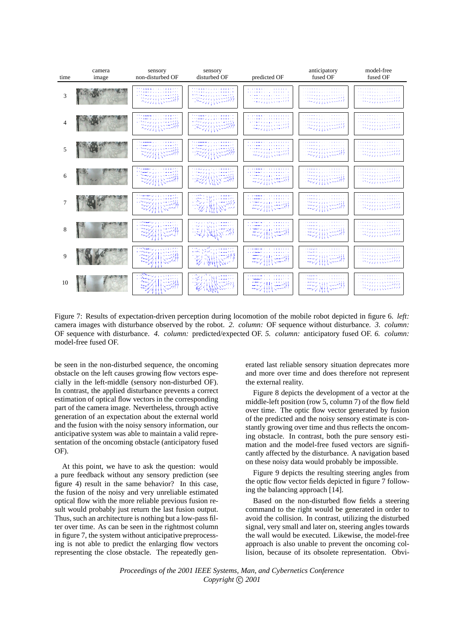

Figure 7: Results of expectation-driven perception during locomotion of the mobile robot depicted in figure 6. *left:* camera images with disturbance observed by the robot. *2. column:* OF sequence without disturbance. *3. column:* OF sequence with disturbance. *4. column:* predicted/expected OF. *5. column:* anticipatory fused OF. *6. column:* model-free fused OF.

be seen in the non-disturbed sequence, the oncoming obstacle on the left causes growing flow vectors especially in the left-middle (sensory non-disturbed OF). In contrast, the applied disturbance prevents a correct estimation of optical flow vectors in the corresponding part of the camera image. Nevertheless, through active generation of an expectation about the external world and the fusion with the noisy sensory information, our anticipative system was able to maintain a valid representation of the oncoming obstacle (anticipatory fused OF).

At this point, we have to ask the question: would a pure feedback without any sensory prediction (see figure 4) result in the same behavior? In this case, the fusion of the noisy and very unreliable estimated optical flow with the more reliable previous fusion result would probably just return the last fusion output. Thus, such an architecture is nothing but a low-pass filter over time. As can be seen in the rightmost column in figure 7, the system without anticipative preprocessing is not able to predict the enlarging flow vectors representing the close obstacle. The repeatedly generated last reliable sensory situation deprecates more and more over time and does therefore not represent the external reality.

Figure 8 depicts the development of a vector at the middle-left position (row 5, column 7) of the flow field over time. The optic flow vector generated by fusion of the predicted and the noisy sensory estimate is constantly growing over time and thus reflects the oncoming obstacle. In contrast, both the pure sensory estimation and the model-free fused vectors are significantly affected by the disturbance. A navigation based on these noisy data would probably be impossible.

Figure 9 depicts the resulting steering angles from the optic flow vector fields depicted in figure 7 following the balancing approach [14].

Based on the non-disturbed flow fields a steering command to the right would be generated in order to avoid the collision. In contrast, utilizing the disturbed signal, very small and later on, steering angles towards the wall would be executed. Likewise, the model-free approach is also unable to prevent the oncoming collision, because of its obsolete representation. Obvi-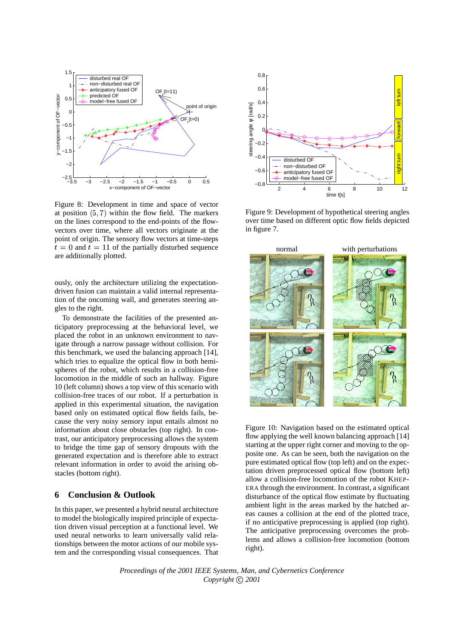

Figure 8: Development in time and space of vector at position  $(5, 7)$  within the flow field. The markers on the lines correspond to the end-points of the flowvectors over time, where all vectors originate at the point of origin. The sensory flow vectors at time-steps  $t=0$  and  $t=11$  of the partially disturbed sequence are additionally plotted.

ously, only the architecture utilizing the expectationdriven fusion can maintain a valid internal representation of the oncoming wall, and generates steering angles to the right.

To demonstrate the facilities of the presented anticipatory preprocessing at the behavioral level, we placed the robot in an unknown environment to navigate through a narrow passage without collision. For this benchmark, we used the balancing approach [14], which tries to equalize the optical flow in both hemispheres of the robot, which results in a collision-free locomotion in the middle of such an hallway. Figure 10 (left column) shows a top view of this scenario with collision-free traces of our robot. If a perturbation is applied in this experimental situation, the navigation based only on estimated optical flow fields fails, because the very noisy sensory input entails almost no information about close obstacles (top right). In contrast, our anticipatory preprocessing allows the system to bridge the time gap of sensory dropouts with the generated expectation and is therefore able to extract relevant information in order to avoid the arising obstacles (bottom right).

# **6 Conclusion & Outlook**

In this paper, we presented a hybrid neural architecture to model the biologically inspired principle of expectation driven visual perception at a functional level. We used neural networks to learn universally valid relationships between the motor actions of our mobile system and the corresponding visual consequences. That



Figure 9: Development of hypothetical steering angles over time based on different optic flow fields depicted in figure 7.



Figure 10: Navigation based on the estimated optical flow applying the well known balancing approach [14] starting at the upper right corner and moving to the opposite one. As can be seen, both the navigation on the pure estimated optical flow (top left) and on the expectation driven preprocessed optical flow (bottom left) allow a collision-free locomotion of the robot KHEP-ERA through the environment. In contrast, a significant disturbance of the optical flow estimate by fluctuating ambient light in the areas marked by the hatched areas causes a collision at the end of the plotted trace, if no anticipative preprocessing is applied (top right). The anticipative preprocessing overcomes the problems and allows a collision-free locomotion (bottom right).